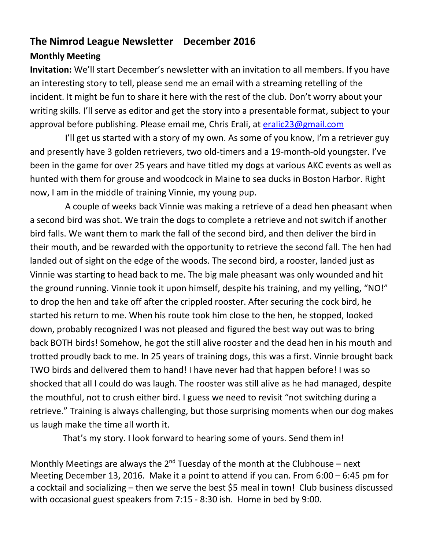# **The Nimrod League Newsletter December 2016**

### **Monthly Meeting**

**Invitation:** We'll start December's newsletter with an invitation to all members. If you have an interesting story to tell, please send me an email with a streaming retelling of the incident. It might be fun to share it here with the rest of the club. Don't worry about your writing skills. I'll serve as editor and get the story into a presentable format, subject to your approval before publishing. Please email me, Chris Erali, at [eralic23@gmail.com](mailto:eralic23@gmail.com)

I'll get us started with a story of my own. As some of you know, I'm a retriever guy and presently have 3 golden retrievers, two old-timers and a 19-month-old youngster. I've been in the game for over 25 years and have titled my dogs at various AKC events as well as hunted with them for grouse and woodcock in Maine to sea ducks in Boston Harbor. Right now, I am in the middle of training Vinnie, my young pup.

 A couple of weeks back Vinnie was making a retrieve of a dead hen pheasant when a second bird was shot. We train the dogs to complete a retrieve and not switch if another bird falls. We want them to mark the fall of the second bird, and then deliver the bird in their mouth, and be rewarded with the opportunity to retrieve the second fall. The hen had landed out of sight on the edge of the woods. The second bird, a rooster, landed just as Vinnie was starting to head back to me. The big male pheasant was only wounded and hit the ground running. Vinnie took it upon himself, despite his training, and my yelling, "NO!" to drop the hen and take off after the crippled rooster. After securing the cock bird, he started his return to me. When his route took him close to the hen, he stopped, looked down, probably recognized I was not pleased and figured the best way out was to bring back BOTH birds! Somehow, he got the still alive rooster and the dead hen in his mouth and trotted proudly back to me. In 25 years of training dogs, this was a first. Vinnie brought back TWO birds and delivered them to hand! I have never had that happen before! I was so shocked that all I could do was laugh. The rooster was still alive as he had managed, despite the mouthful, not to crush either bird. I guess we need to revisit "not switching during a retrieve." Training is always challenging, but those surprising moments when our dog makes us laugh make the time all worth it.

That's my story. I look forward to hearing some of yours. Send them in!

Monthly Meetings are always the  $2^{nd}$  Tuesday of the month at the Clubhouse – next Meeting December 13, 2016. Make it a point to attend if you can. From 6:00 – 6:45 pm for a cocktail and socializing – then we serve the best \$5 meal in town! Club business discussed with occasional guest speakers from 7:15 - 8:30 ish. Home in bed by 9:00.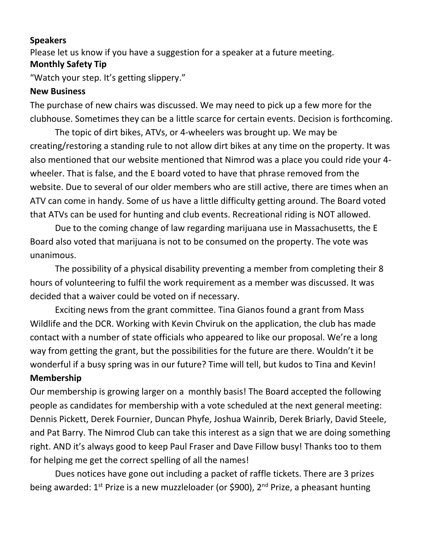#### **Speakers**

Please let us know if you have a suggestion for a speaker at a future meeting.

#### **Monthly Safety Tip**

"Watch your step. It's getting slippery."

#### **New Business**

The purchase of new chairs was discussed. We may need to pick up a few more for the clubhouse. Sometimes they can be a little scarce for certain events. Decision is forthcoming.

The topic of dirt bikes, ATVs, or 4-wheelers was brought up. We may be creating/restoring a standing rule to not allow dirt bikes at any time on the property. It was also mentioned that our website mentioned that Nimrod was a place you could ride your 4 wheeler. That is false, and the E board voted to have that phrase removed from the website. Due to several of our older members who are still active, there are times when an ATV can come in handy. Some of us have a little difficulty getting around. The Board voted that ATVs can be used for hunting and club events. Recreational riding is NOT allowed.

Due to the coming change of law regarding marijuana use in Massachusetts, the E Board also voted that marijuana is not to be consumed on the property. The vote was unanimous.

The possibility of a physical disability preventing a member from completing their 8 hours of volunteering to fulfil the work requirement as a member was discussed. It was decided that a waiver could be voted on if necessary.

Exciting news from the grant committee. Tina Gianos found a grant from Mass Wildlife and the DCR. Working with Kevin Chviruk on the application, the club has made contact with a number of state officials who appeared to like our proposal. We're a long way from getting the grant, but the possibilities for the future are there. Wouldn't it be wonderful if a busy spring was in our future? Time will tell, but kudos to Tina and Kevin! **Membership**

Our membership is growing larger on a monthly basis! The Board accepted the following people as candidates for membership with a vote scheduled at the next general meeting: Dennis Pickett, Derek Fournier, Duncan Phyfe, Joshua Wainrib, Derek Briarly, David Steele, and Pat Barry. The Nimrod Club can take this interest as a sign that we are doing something right. AND it's always good to keep Paul Fraser and Dave Fillow busy! Thanks too to them for helping me get the correct spelling of all the names!

Dues notices have gone out including a packet of raffle tickets. There are 3 prizes being awarded: 1<sup>st</sup> Prize is a new muzzleloader (or \$900), 2<sup>nd</sup> Prize, a pheasant hunting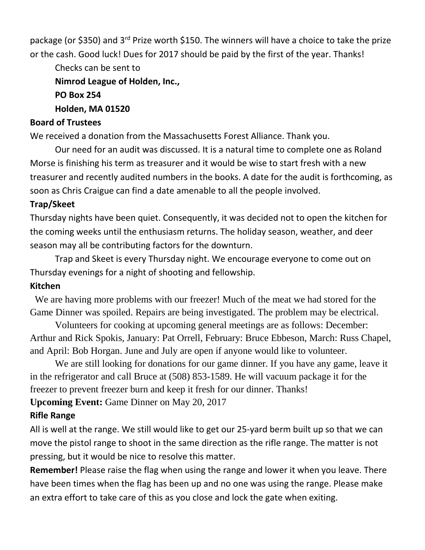package (or \$350) and 3<sup>rd</sup> Prize worth \$150. The winners will have a choice to take the prize or the cash. Good luck! Dues for 2017 should be paid by the first of the year. Thanks!

Checks can be sent to **Nimrod League of Holden, Inc., PO Box 254**

#### **Holden, MA 01520**

#### **Board of Trustees**

We received a donation from the Massachusetts Forest Alliance. Thank you.

Our need for an audit was discussed. It is a natural time to complete one as Roland Morse is finishing his term as treasurer and it would be wise to start fresh with a new treasurer and recently audited numbers in the books. A date for the audit is forthcoming, as soon as Chris Craigue can find a date amenable to all the people involved.

#### **Trap/Skeet**

Thursday nights have been quiet. Consequently, it was decided not to open the kitchen for the coming weeks until the enthusiasm returns. The holiday season, weather, and deer season may all be contributing factors for the downturn.

Trap and Skeet is every Thursday night. We encourage everyone to come out on Thursday evenings for a night of shooting and fellowship.

### **Kitchen**

We are having more problems with our freezer! Much of the meat we had stored for the Game Dinner was spoiled. Repairs are being investigated. The problem may be electrical.

Volunteers for cooking at upcoming general meetings are as follows: December: Arthur and Rick Spokis, January: Pat Orrell, February: Bruce Ebbeson, March: Russ Chapel, and April: Bob Horgan. June and July are open if anyone would like to volunteer.

We are still looking for donations for our game dinner. If you have any game, leave it in the refrigerator and call Bruce at (508) 853-1589. He will vacuum package it for the freezer to prevent freezer burn and keep it fresh for our dinner. Thanks!

**Upcoming Event:** Game Dinner on May 20, 2017

### **Rifle Range**

All is well at the range. We still would like to get our 25-yard berm built up so that we can move the pistol range to shoot in the same direction as the rifle range. The matter is not pressing, but it would be nice to resolve this matter.

**Remember!** Please raise the flag when using the range and lower it when you leave. There have been times when the flag has been up and no one was using the range. Please make an extra effort to take care of this as you close and lock the gate when exiting.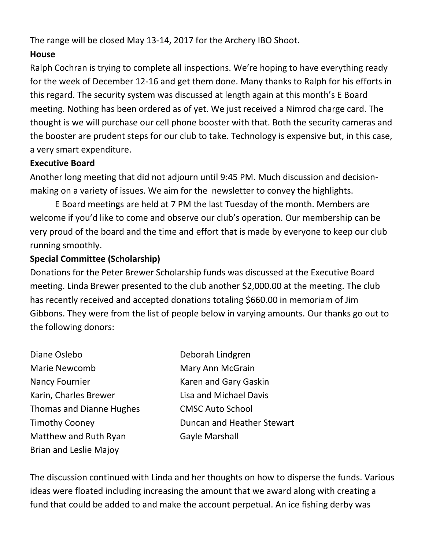The range will be closed May 13-14, 2017 for the Archery IBO Shoot.

### **House**

Ralph Cochran is trying to complete all inspections. We're hoping to have everything ready for the week of December 12-16 and get them done. Many thanks to Ralph for his efforts in this regard. The security system was discussed at length again at this month's E Board meeting. Nothing has been ordered as of yet. We just received a Nimrod charge card. The thought is we will purchase our cell phone booster with that. Both the security cameras and the booster are prudent steps for our club to take. Technology is expensive but, in this case, a very smart expenditure.

### **Executive Board**

Another long meeting that did not adjourn until 9:45 PM. Much discussion and decisionmaking on a variety of issues. We aim for the newsletter to convey the highlights.

E Board meetings are held at 7 PM the last Tuesday of the month. Members are welcome if you'd like to come and observe our club's operation. Our membership can be very proud of the board and the time and effort that is made by everyone to keep our club running smoothly.

### **Special Committee (Scholarship)**

Donations for the Peter Brewer Scholarship funds was discussed at the Executive Board meeting. Linda Brewer presented to the club another \$2,000.00 at the meeting. The club has recently received and accepted donations totaling \$660.00 in memoriam of Jim Gibbons. They were from the list of people below in varying amounts. Our thanks go out to the following donors:

Diane Oslebo **Diane Oslebo** Deborah Lindgren Marie Newcomb Mary Ann McGrain Nancy Fournier **Karen and Gary Gaskin** Karin, Charles Brewer Lisa and Michael Davis Thomas and Dianne Hughes CMSC Auto School Matthew and Ruth Ryan Gayle Marshall Brian and Leslie Majoy

Timothy Cooney **Duncan and Heather Stewart** 

The discussion continued with Linda and her thoughts on how to disperse the funds. Various ideas were floated including increasing the amount that we award along with creating a fund that could be added to and make the account perpetual. An ice fishing derby was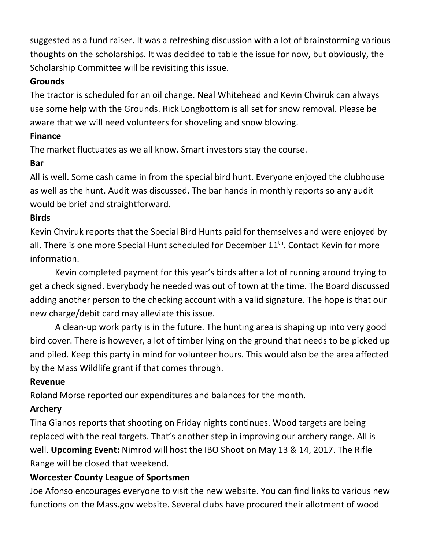suggested as a fund raiser. It was a refreshing discussion with a lot of brainstorming various thoughts on the scholarships. It was decided to table the issue for now, but obviously, the Scholarship Committee will be revisiting this issue.

### **Grounds**

The tractor is scheduled for an oil change. Neal Whitehead and Kevin Chviruk can always use some help with the Grounds. Rick Longbottom is all set for snow removal. Please be aware that we will need volunteers for shoveling and snow blowing.

# **Finance**

The market fluctuates as we all know. Smart investors stay the course.

# **Bar**

All is well. Some cash came in from the special bird hunt. Everyone enjoyed the clubhouse as well as the hunt. Audit was discussed. The bar hands in monthly reports so any audit would be brief and straightforward.

# **Birds**

Kevin Chviruk reports that the Special Bird Hunts paid for themselves and were enjoyed by all. There is one more Special Hunt scheduled for December 11<sup>th</sup>. Contact Kevin for more information.

Kevin completed payment for this year's birds after a lot of running around trying to get a check signed. Everybody he needed was out of town at the time. The Board discussed adding another person to the checking account with a valid signature. The hope is that our new charge/debit card may alleviate this issue.

A clean-up work party is in the future. The hunting area is shaping up into very good bird cover. There is however, a lot of timber lying on the ground that needs to be picked up and piled. Keep this party in mind for volunteer hours. This would also be the area affected by the Mass Wildlife grant if that comes through.

# **Revenue**

Roland Morse reported our expenditures and balances for the month.

# **Archery**

Tina Gianos reports that shooting on Friday nights continues. Wood targets are being replaced with the real targets. That's another step in improving our archery range. All is well. **Upcoming Event:** Nimrod will host the IBO Shoot on May 13 & 14, 2017. The Rifle Range will be closed that weekend.

# **Worcester County League of Sportsmen**

Joe Afonso encourages everyone to visit the new website. You can find links to various new functions on the Mass.gov website. Several clubs have procured their allotment of wood